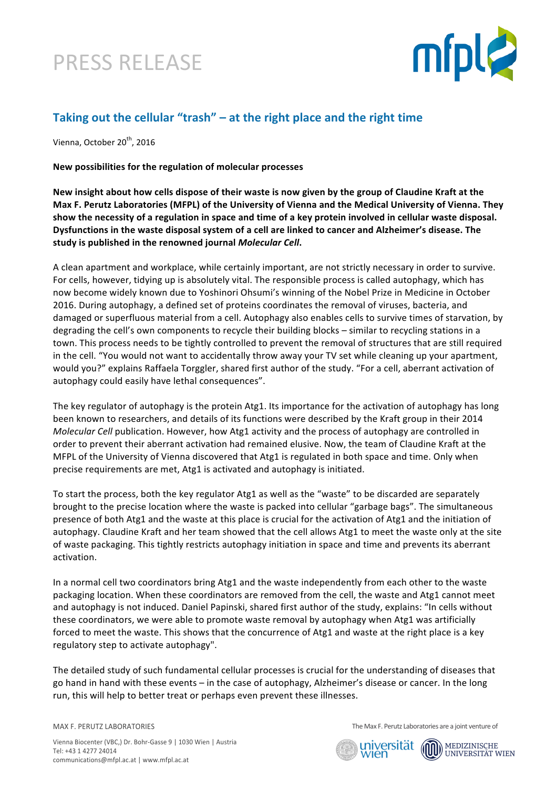



## **Taking out the cellular "trash"** – at the right place and the right time

Vienna, October 20<sup>th</sup>, 2016

New possibilities for the regulation of molecular processes

New insight about how cells dispose of their waste is now given by the group of Claudine Kraft at the **Max F. Perutz Laboratories (MFPL) of the University of Vienna and the Medical University of Vienna. They** show the necessity of a regulation in space and time of a key protein involved in cellular waste disposal. Dysfunctions in the waste disposal system of a cell are linked to cancer and Alzheimer's disease. The study is published in the renowned journal *Molecular Cell*.

A clean apartment and workplace, while certainly important, are not strictly necessary in order to survive. For cells, however, tidying up is absolutely vital. The responsible process is called autophagy, which has now become widely known due to Yoshinori Ohsumi's winning of the Nobel Prize in Medicine in October 2016. During autophagy, a defined set of proteins coordinates the removal of viruses, bacteria, and damaged or superfluous material from a cell. Autophagy also enables cells to survive times of starvation, by degrading the cell's own components to recycle their building blocks – similar to recycling stations in a town. This process needs to be tightly controlled to prevent the removal of structures that are still required in the cell. "You would not want to accidentally throw away your TV set while cleaning up your apartment, would you?" explains Raffaela Torggler, shared first author of the study. "For a cell, aberrant activation of autophagy could easily have lethal consequences".

The key regulator of autophagy is the protein Atg1. Its importance for the activation of autophagy has long been known to researchers, and details of its functions were described by the Kraft group in their 2014 *Molecular Cell* publication. However, how Atg1 activity and the process of autophagy are controlled in order to prevent their aberrant activation had remained elusive. Now, the team of Claudine Kraft at the MFPL of the University of Vienna discovered that Atg1 is regulated in both space and time. Only when precise requirements are met, Atg1 is activated and autophagy is initiated.

To start the process, both the key regulator Atg1 as well as the "waste" to be discarded are separately brought to the precise location where the waste is packed into cellular "garbage bags". The simultaneous presence of both Atg1 and the waste at this place is crucial for the activation of Atg1 and the initiation of autophagy. Claudine Kraft and her team showed that the cell allows Atg1 to meet the waste only at the site of waste packaging. This tightly restricts autophagy initiation in space and time and prevents its aberrant activation. 

In a normal cell two coordinators bring Atg1 and the waste independently from each other to the waste packaging location. When these coordinators are removed from the cell, the waste and Atg1 cannot meet and autophagy is not induced. Daniel Papinski, shared first author of the study, explains: "In cells without these coordinators, we were able to promote waste removal by autophagy when Atg1 was artificially forced to meet the waste. This shows that the concurrence of Atg1 and waste at the right place is a key regulatory step to activate autophagy".

The detailed study of such fundamental cellular processes is crucial for the understanding of diseases that go hand in hand with these events  $-$  in the case of autophagy, Alzheimer's disease or cancer. In the long run, this will help to better treat or perhaps even prevent these illnesses.

MAX F. PERUTZ LABORATORIES

The Max F. Perutz Laboratories are a joint venture of